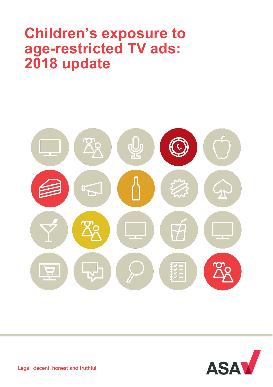# **Children's exposure to age-restricted TV ads: 2018 update**





Legal, decent, honest and truthful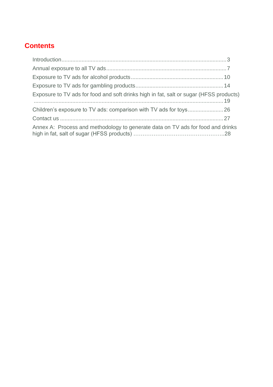### **Contents**

| Exposure to TV ads for food and soft drinks high in fat, salt or sugar (HFSS products) |  |
|----------------------------------------------------------------------------------------|--|
|                                                                                        |  |
|                                                                                        |  |
| Annex A: Process and methodology to generate data on TV ads for food and drinks        |  |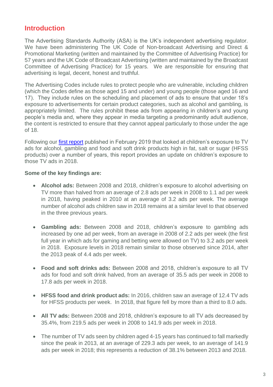### **Introduction**

The Advertising Standards Authority (ASA) is the UK's independent advertising regulator. We have been administering The UK Code of Non-broadcast Advertising and Direct & Promotional Marketing (written and maintained by the Committee of Advertising Practice) for 57 years and the UK Code of Broadcast Advertising (written and maintained by the Broadcast Committee of Advertising Practice) for 15 years. We are responsible for ensuring that advertising is legal, decent, honest and truthful.

The Advertising Codes include rules to protect people who are vulnerable, including children (which the Codes define as those aged 15 and under) and young people (those aged 16 and 17). They include rules on the scheduling and placement of ads to ensure that under 18's exposure to advertisements for certain product categories, such as alcohol and gambling, is appropriately limited. The rules prohibit these ads from appearing in children's and young people's media and, where they appear in media targeting a predominantly adult audience, the content is restricted to ensure that they cannot appeal particularly to those under the age of 18.

Following our *first report* published in February 2019 that looked at children's exposure to TV ads for alcohol, gambling and food and soft drink products high in fat, salt or sugar (HFSS products) over a number of years, this report provides an update on children's exposure to those TV ads in 2018.

#### **Some of the key findings are:**

- **Alcohol ads:** Between 2008 and 2018, children's exposure to alcohol advertising on TV more than halved from an average of 2.8 ads per week in 2008 to 1.1 ad per week in 2018, having peaked in 2010 at an average of 3.2 ads per week. The average number of alcohol ads children saw in 2018 remains at a similar level to that observed in the three previous years.
- **Gambling ads:** Between 2008 and 2018, children's exposure to gambling ads increased by one ad per week, from an average in 2008 of 2.2 ads per week (the first full year in which ads for gaming and betting were allowed on TV) to 3.2 ads per week in 2018. Exposure levels in 2018 remain similar to those observed since 2014, after the 2013 peak of 4.4 ads per week.
- **Food and soft drinks ads:** Between 2008 and 2018, children's exposure to all TV ads for food and soft drink halved, from an average of 35.5 ads per week in 2008 to 17.8 ads per week in 2018.
- **HFSS food and drink product ads:** In 2016, children saw an average of 12.4 TV ads for HFSS products per week. In 2018, that figure fell by more than a third to 8.0 ads.
- **All TV ads:** Between 2008 and 2018, children's exposure to all TV ads decreased by 35.4%, from 219.5 ads per week in 2008 to 141.9 ads per week in 2018.
- The number of TV ads seen by children aged 4-15 years has continued to fall markedly since the peak in 2013, at an average of 229.3 ads per week, to an average of 141.9 ads per week in 2018; this represents a reduction of 38.1% between 2013 and 2018.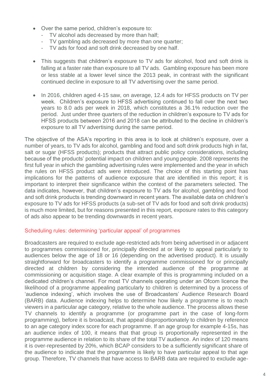- Over the same period, children's exposure to:
	- TV alcohol ads decreased by more than half;
	- TV gambling ads decreased by more than one quarter;
	- TV ads for food and soft drink decreased by one half.
- This suggests that children's exposure to TV ads for alcohol, food and soft drink is falling at a faster rate than exposure to all TV ads. Gambling exposure has been more or less stable at a lower level since the 2013 peak, in contrast with the significant continued decline in exposure to all TV advertising over the same period.
- In 2016, children aged 4-15 saw, on average, 12.4 ads for HFSS products on TV per week. Children's exposure to HFSS advertising continued to fall over the next two years to 8.0 ads per week in 2018, which constitutes a 36.1% reduction over the period. Just under three quarters of the reduction in children's exposure to TV ads for HFSS products between 2016 and 2018 can be attributed to the decline in children's exposure to all TV advertising during the same period.

The objective of the ASA's reporting in this area is to look at children's exposure, over a number of years, to TV ads for alcohol, gambling and food and soft drink products high in fat, salt or sugar (HFSS products); products that attract public policy considerations, including because of the products' potential impact on children and young people. 2008 represents the first full year in which the gambling advertising rules were implemented and the year in which the rules on HFSS product ads were introduced. The choice of this starting point has implications for the patterns of audience exposure that are identified in this report; it is important to interpret their significance within the context of the parameters selected. The data indicates, however, that children's exposure to TV ads for alcohol, gambling and food and soft drink products is trending downward in recent years. The available data on children's exposure to TV ads for HFSS products (a sub-set of TV ads for food and soft drink products) is much more limited, but for reasons presented in this report, exposure rates to this category of ads also appear to be trending downwards in recent years.

#### Scheduling rules: determining 'particular appeal' of programmes

Broadcasters are required to exclude age-restricted ads from being advertised in or adjacent to programmes commissioned for, principally directed at or likely to appeal particularly to audiences below the age of 18 or 16 (depending on the advertised product). It is usually straightforward for broadcasters to identify a programme commissioned for or principally directed at children by considering the intended audience of the programme at commissioning or acquisition stage. A clear example of this is programming included on a dedicated children's channel. For most TV channels operating under an Ofcom licence the likelihood of a programme appealing particularly to children is determined by a process of 'audience indexing', which involves the use of Broadcasters' Audience Research Board (BARB) data. Audience indexing helps to determine how likely a programme is to reach viewers in a particular age category, relative to the whole audience. The process allows these TV channels to identify a programme (or programme part in the case of long-form programming), before it is broadcast, that appeal disproportionately to children by reference to an age category index score for each programme. If an age group for example 4-15s, has an audience index of 100, it means that that group is proportionally represented in the programme audience in relation to its share of the total TV audience. An index of 120 means it is over-represented by 20%, which BCAP considers to be a sufficiently significant share of the audience to indicate that the programme is likely to have particular appeal to that age group. Therefore, TV channels that have access to BARB data are required to exclude age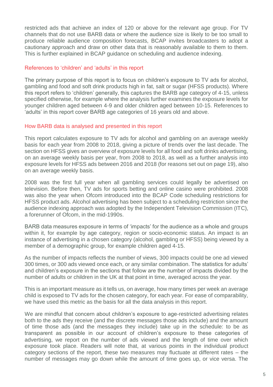restricted ads that achieve an index of 120 or above for the relevant age group. For TV channels that do not use BARB data or where the audience size is likely to be too small to produce reliable audience composition forecasts, BCAP invites broadcasters to adopt a cautionary approach and draw on other data that is reasonably available to them to them. This is further explained in BCAP guidance on scheduling and audience indexing.

#### References to 'children' and 'adults' in this report

The primary purpose of this report is to focus on children's exposure to TV ads for alcohol, gambling and food and soft drink products high in fat, salt or sugar (HFSS products). Where this report refers to 'children' generally, this captures the BARB age category of 4-15, unless specified otherwise, for example where the analysis further examines the exposure levels for younger children aged between 4-9 and older children aged between 10-15. References to 'adults' in this report cover BARB age categories of 16 years old and above.

#### How BARB data is analysed and presented in this report

This report calculates exposure to TV ads for alcohol and gambling on an average weekly basis for each year from 2008 to 2018, giving a picture of trends over the last decade. The section on HFSS gives an overview of exposure levels for all food and soft drinks advertising, on an average weekly basis per year, from 2008 to 2018, as well as a further analysis into exposure levels for HFSS ads between 2016 and 2018 (for reasons set out on page 19), also on an average weekly basis.

2008 was the first full year when all gambling services could legally be advertised on television. Before then, TV ads for sports betting and online casino were prohibited. 2008 was also the year when Ofcom introduced into the BCAP Code scheduling restrictions for HFSS product ads. Alcohol advertising has been subject to a scheduling restriction since the audience indexing approach was adopted by the Independent Television Commission (ITC), a forerunner of Ofcom, in the mid-1990s.

BARB data measures exposure in terms of 'impacts' for the audience as a whole and groups within it, for example by age category, region or socio-economic status. An impact is an instance of advertising in a chosen category (alcohol, gambling or HFSS) being viewed by a member of a demographic group, for example children aged 4-15.

As the number of impacts reflects the number of views, 300 impacts could be one ad viewed 300 times, or 300 ads viewed once each, or any similar combination. The statistics for adults' and children's exposure in the sections that follow are the number of impacts divided by the number of adults or children in the UK at that point in time, averaged across the year.

This is an important measure as it tells us, on average, how many times per week an average child is exposed to TV ads for the chosen category, for each year. For ease of comparability, we have used this metric as the basis for all the data analysis in this report.

We are mindful that concern about children's exposure to age-restricted advertising relates both to the ads they receive (and the discrete messages those ads include) and the amount of time those ads (and the messages they include) take up in the schedule: to be as transparent as possible in our account of children's exposure to these categories of advertising, we report on the number of ads viewed and the length of time over which exposure took place. Readers will note that, at various points in the individual product category sections of the report, these two measures may fluctuate at different rates – the number of messages may go down while the amount of time goes up, or vice versa. The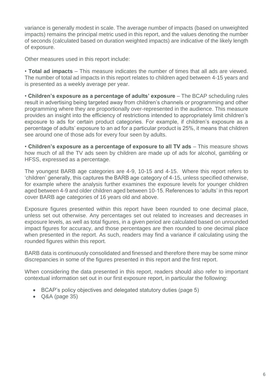variance is generally modest in scale. The average number of impacts (based on unweighted impacts) remains the principal metric used in this report, and the values denoting the number of seconds (calculated based on duration weighted impacts) are indicative of the likely length of exposure.

Other measures used in this report include:

• **Total ad impacts** – This measure indicates the number of times that all ads are viewed. The number of total ad impacts in this report relates to children aged between 4-15 years and is presented as a weekly average per year.

• **Children's exposure as a percentage of adults' exposure** – The BCAP scheduling rules result in advertising being targeted away from children's channels or programming and other programming where they are proportionally over-represented in the audience. This measure provides an insight into the efficiency of restrictions intended to appropriately limit children's exposure to ads for certain product categories. For example, if children's exposure as a percentage of adults' exposure to an ad for a particular product is 25%, it means that children see around one of those ads for every four seen by adults.

• **Children's exposure as a percentage of exposure to all TV ads** – This measure shows how much of all the TV ads seen by children are made up of ads for alcohol, gambling or HFSS, expressed as a percentage.

The youngest BARB age categories are 4-9, 10-15 and 4-15. Where this report refers to 'children' generally, this captures the BARB age category of 4-15, unless specified otherwise, for example where the analysis further examines the exposure levels for younger children aged between 4-9 and older children aged between 10-15. References to 'adults' in this report cover BARB age categories of 16 years old and above.

Exposure figures presented within this report have been rounded to one decimal place, unless set out otherwise. Any percentages set out related to increases and decreases in exposure levels, as well as total figures, in a given period are calculated based on unrounded impact figures for accuracy, and those percentages are then rounded to one decimal place when presented in the report. As such, readers may find a variance if calculating using the rounded figures within this report.

BARB data is continuously consolidated and finessed and therefore there may be some minor discrepancies in some of the figures presented in this report and the first report.

When considering the data presented in this report, readers should also refer to important contextual information set out in our first exposure report, in particular the following:

- BCAP's policy objectives and delegated statutory duties (page 5)
- Q&A (page 35)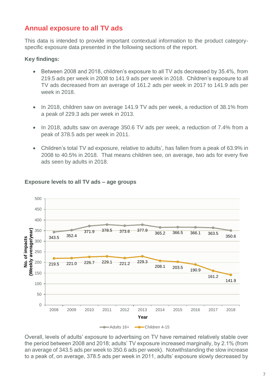### **Annual exposure to all TV ads**

This data is intended to provide important contextual information to the product categoryspecific exposure data presented in the following sections of the report.

#### **Key findings:**

- Between 2008 and 2018, children's exposure to all TV ads decreased by 35.4%, from 219.5 ads per week in 2008 to 141.9 ads per week in 2018. Children's exposure to all TV ads decreased from an average of 161.2 ads per week in 2017 to 141.9 ads per week in 2018.
- In 2018, children saw on average 141.9 TV ads per week, a reduction of 38.1% from a peak of 229.3 ads per week in 2013.
- In 2018, adults saw on average 350.6 TV ads per week, a reduction of 7.4% from a peak of 378.5 ads per week in 2011.
- Children's total TV ad exposure, relative to adults', has fallen from a peak of 63.9% in 2008 to 40.5% in 2018. That means children see, on average, two ads for every five ads seen by adults in 2018.



#### **Exposure levels to all TV ads – age groups**

Overall, levels of adults' exposure to advertising on TV have remained relatively stable over the period between 2008 and 2018; adults' TV exposure increased marginally, by 2.1% (from an average of 343.5 ads per week to 350.6 ads per week). Notwithstanding the slow increase to a peak of, on average, 378.5 ads per week in 2011, adults' exposure slowly decreased by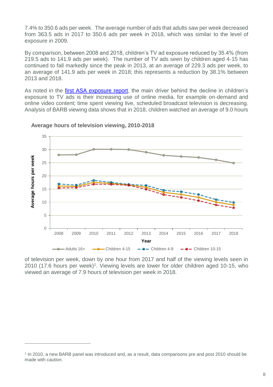7.4% to 350.6 ads per week. The average number of ads that adults saw per week decreased from 363.5 ads in 2017 to 350.6 ads per week in 2018, which was similar to the level of exposure in 2009.

By comparison, between 2008 and 2018, children's TV ad exposure reduced by 35.4% (from 219.5 ads to 141.9 ads per week). The number of TV ads seen by children aged 4-15 has continued to fall markedly since the peak in 2013, at an average of 229.3 ads per week, to an average of 141.9 ads per week in 2018; this represents a reduction by 38.1% between 2013 and 2018.

As noted in the [first ASA exposure report,](https://www.asa.org.uk/uploads/assets/uploaded/229cd7e6-f9e2-4cf0-85a0a463add0ee2d.pdf) the main driver behind the decline in children's exposure to TV ads is their increasing use of online media, for example on-demand and online video content; time spent viewing live, scheduled broadcast television is decreasing. Analysis of BARB viewing data shows that in 2018, children watched an average of 9.0 hours



#### **Average hours of television viewing, 2010-2018**

 $\overline{a}$ 

of television per week, down by one hour from 2017 and half of the viewing levels seen in 2010 (17.6 hours per week)<sup>1</sup>. Viewing levels are lower for older children aged 10-15, who viewed an average of 7.9 hours of television per week in 2018.

<sup>1</sup> In 2010, a new BARB panel was introduced and, as a result, data comparisons pre and post 2010 should be made with caution.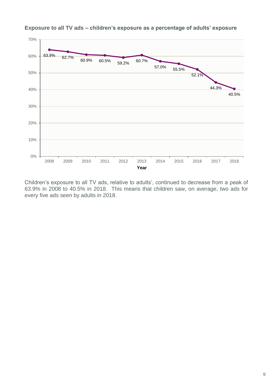

**Exposure to all TV ads – children's exposure as a percentage of adults' exposure**

Children's exposure to all TV ads, relative to adults', continued to decrease from a peak of 63.9% in 2008 to 40.5% in 2018. This means that children saw, on average, two ads for every five ads seen by adults in 2018.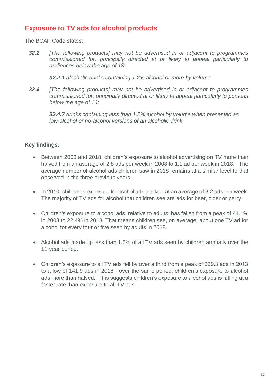### **Exposure to TV ads for alcohol products**

The BCAP Code states:

*32.2 [The following products] may not be advertised in or adjacent to programmes commissioned for, principally directed at or likely to appeal particularly to audiences below the age of 18:*

*32.2.1 alcoholic drinks containing 1.2% alcohol or more by volume* 

*32.4 [The following products] may not be advertised in or adjacent to programmes commissioned for, principally directed at or likely to appeal particularly to persons below the age of 16:*

*32.4.7 drinks containing less than 1.2% alcohol by volume when presented as low-alcohol or no-alcohol versions of an alcoholic drink*

#### **Key findings:**

- Between 2008 and 2018, children's exposure to alcohol advertising on TV more than halved from an average of 2.8 ads per week in 2008 to 1.1 ad per week in 2018. The average number of alcohol ads children saw in 2018 remains at a similar level to that observed in the three previous years.
- In 2010, children's exposure to alcohol ads peaked at an average of 3.2 ads per week. The majority of TV ads for alcohol that children see are ads for beer, cider or perry.
- Children's exposure to alcohol ads, relative to adults, has fallen from a peak of 41.1% in 2008 to 22.4% in 2018. That means children see, on average, about one TV ad for alcohol for every four or five seen by adults in 2018.
- Alcohol ads made up less than 1.5% of all TV ads seen by children annually over the 11-year period.
- Children's exposure to all TV ads fell by over a third from a peak of 229.3 ads in 2013 to a low of 141.9 ads in 2018 - over the same period, children's exposure to alcohol ads more than halved. This suggests children's exposure to alcohol ads is falling at a faster rate than exposure to all TV ads.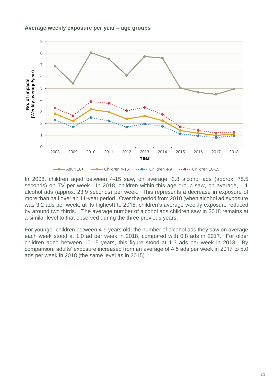#### **Average weekly exposure per year – age groups**



In 2008, children aged between 4-15 saw, on average, 2.8 alcohol ads (approx. 75.5 seconds) on TV per week. In 2018, children within this age group saw, on average, 1.1 alcohol ads (approx. 23.9 seconds) per week. This represents a decrease in exposure of more than half over an 11-year period. Over the period from 2010 (when alcohol ad exposure was 3.2 ads per week, at its highest) to 2018, children's average weekly exposure reduced by around two thirds. The average number of alcohol ads children saw in 2018 remains at a similar level to that observed during the three previous years.

For younger children between 4-9 years old, the number of alcohol ads they saw on average each week stood at 1.0 ad per week in 2018, compared with 0.8 ads in 2017. For older children aged between 10-15 years, this figure stood at 1.3 ads per week in 2018. By comparison, adults' exposure increased from an average of 4.5 ads per week in 2017 to 5.0 ads per week in 2018 (the same level as in 2015).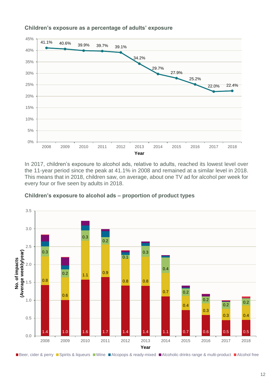

#### **Children's exposure as a percentage of adults' exposure**

In 2017, children's exposure to alcohol ads, relative to adults, reached its lowest level over the 11-year period since the peak at 41.1% in 2008 and remained at a similar level in 2018. This means that in 2018, children saw, on average, about one TV ad for alcohol per week for every four or five seen by adults in 2018.



**Children's exposure to alcohol ads – proportion of product types**

■Beer, cider & perry ■Spirits & liqueurs ■Wine ■Alcopops & ready-mixed ■Alcoholic drinks range & multi-product ■Alcohol free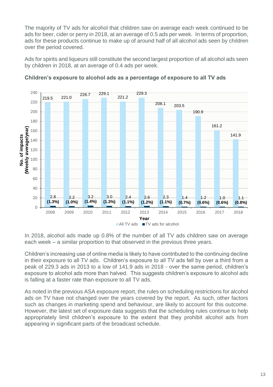The majority of TV ads for alcohol that children saw on average each week continued to be ads for beer, cider or perry in 2018, at an average of 0.5 ads per week. In terms of proportion, ads for these products continue to make up of around half of all alcohol ads seen by children over the period covered.

Ads for spirits and liqueurs still constitute the second largest proportion of all alcohol ads seen by children in 2018, at an average of 0.4 ads per week.



**Children's exposure to alcohol ads as a percentage of exposure to all TV ads**

In 2018, alcohol ads made up 0.8% of the number of all TV ads children saw on average each week – a similar proportion to that observed in the previous three years.

Children's increasing use of online media is likely to have contributed to the continuing decline in their exposure to all TV ads. Children's exposure to all TV ads fell by over a third from a peak of 229.3 ads in 2013 to a low of 141.9 ads in 2018 - over the same period, children's exposure to alcohol ads more than halved. This suggests children's exposure to alcohol ads is falling at a faster rate than exposure to all TV ads.

As noted in the previous ASA exposure report, the rules on scheduling restrictions for alcohol ads on TV have not changed over the years covered by the report. As such, other factors such as changes in marketing spend and behaviour, are likely to account for this outcome. However, the latest set of exposure data suggests that the scheduling rules continue to help appropriately limit children's exposure to the extent that they prohibit alcohol ads from appearing in significant parts of the broadcast schedule.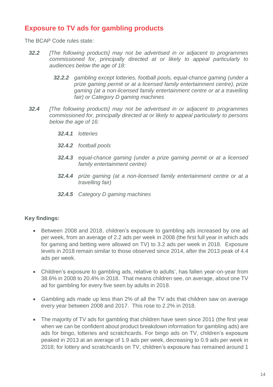### **Exposure to TV ads for gambling products**

The BCAP Code rules state:

- *32.2 [The following products] may not be advertised in or adjacent to programmes commissioned for, principally directed at or likely to appeal particularly to audiences below the age of 18:*
	- *32.2.2 gambling except lotteries, football pools, equal-chance gaming (under a prize gaming permit or at a licensed family entertainment centre), prize gaming (at a non-licensed family entertainment centre or at a travelling fair) or Category D gaming machines*
- *32.4 [The following products] may not be advertised in or adjacent to programmes commissioned for, principally directed at or likely to appeal particularly to persons below the age of 16:*
	- *32.4.1 lotteries*
	- *32.4.2 football pools*
	- *32.4.3 equal-chance gaming (under a prize gaming permit or at a licensed family entertainment centre)*
	- *32.4.4 prize gaming (at a non-licensed family entertainment centre or at a travelling fair)*
	- *32.4.5 Category D gaming machines*

#### **Key findings:**

- Between 2008 and 2018, children's exposure to gambling ads increased by one ad per week, from an average of 2.2 ads per week in 2008 (the first full year in which ads for gaming and betting were allowed on TV) to 3.2 ads per week in 2018. Exposure levels in 2018 remain similar to those observed since 2014, after the 2013 peak of 4.4 ads per week.
- Children's exposure to gambling ads, relative to adults', has fallen year-on-year from 38.6% in 2008 to 20.4% in 2018. That means children see, on average, about one TV ad for gambling for every five seen by adults in 2018.
- Gambling ads made up less than 2% of all the TV ads that children saw on average every year between 2008 and 2017. This rose to 2.2% in 2018.
- The majority of TV ads for gambling that children have seen since 2011 (the first year when we can be confident about product breakdown information for gambling ads) are ads for bingo, lotteries and scratchcards. For bingo ads on TV, children's exposure peaked in 2013 at an average of 1.9 ads per week, decreasing to 0.9 ads per week in 2018; for lottery and scratchcards on TV, children's exposure has remained around 1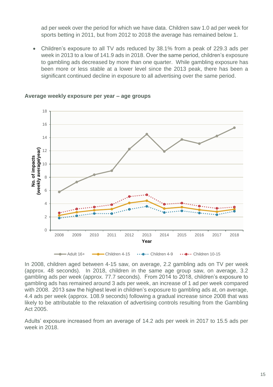ad per week over the period for which we have data. Children saw 1.0 ad per week for sports betting in 2011, but from 2012 to 2018 the average has remained below 1.

 Children's exposure to all TV ads reduced by 38.1% from a peak of 229.3 ads per week in 2013 to a low of 141.9 ads in 2018. Over the same period, children's exposure to gambling ads decreased by more than one quarter. While gambling exposure has been more or less stable at a lower level since the 2013 peak, there has been a significant continued decline in exposure to all advertising over the same period.



#### **Average weekly exposure per year – age groups**

In 2008, children aged between 4-15 saw, on average, 2.2 gambling ads on TV per week (approx. 48 seconds). In 2018, children in the same age group saw, on average, 3.2 gambling ads per week (approx. 77.7 seconds). From 2014 to 2018, children's exposure to gambling ads has remained around 3 ads per week, an increase of 1 ad per week compared with 2008. 2013 saw the highest level in children's exposure to gambling ads at, on average, 4.4 ads per week (approx. 108.9 seconds) following a gradual increase since 2008 that was likely to be attributable to the relaxation of advertising controls resulting from the Gambling Act 2005.

Adults' exposure increased from an average of 14.2 ads per week in 2017 to 15.5 ads per week in 2018.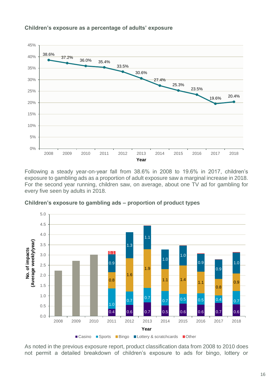

#### **Children's exposure as a percentage of adults' exposure**

Following a steady year-on-year fall from 38.6% in 2008 to 19.6% in 2017, children's exposure to gambling ads as a proportion of adult exposure saw a marginal increase in 2018. For the second year running, children saw, on average, about one TV ad for gambling for every five seen by adults in 2018.



**Children's exposure to gambling ads – proportion of product types**

As noted in the previous exposure report, product classification data from 2008 to 2010 does not permit a detailed breakdown of children's exposure to ads for bingo, lottery or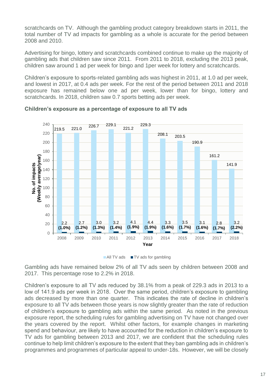scratchcards on TV. Although the gambling product category breakdown starts in 2011, the total number of TV ad impacts for gambling as a whole is accurate for the period between 2008 and 2010.

Advertising for bingo, lottery and scratchcards combined continue to make up the majority of gambling ads that children saw since 2011. From 2011 to 2018, excluding the 2013 peak, children saw around 1 ad per week for bingo and 1per week for lottery and scratchcards.

Children's exposure to sports-related gambling ads was highest in 2011, at 1.0 ad per week, and lowest in 2017, at 0.4 ads per week. For the rest of the period between 2011 and 2018 exposure has remained below one ad per week, lower than for bingo, lottery and scratchcards. In 2018, children saw 0.7 sports betting ads per week.



**Children's exposure as a percentage of exposure to all TV ads**

Gambling ads have remained below 2% of all TV ads seen by children between 2008 and 2017. This percentage rose to 2.2% in 2018.

Children's exposure to all TV ads reduced by 38.1% from a peak of 229.3 ads in 2013 to a low of 141.9 ads per week in 2018. Over the same period, children's exposure to gambling ads decreased by more than one quarter. This indicates the rate of decline in children's exposure to all TV ads between those years is now slightly greater than the rate of reduction of children's exposure to gambling ads within the same period. As noted in the previous exposure report, the scheduling rules for gambling advertising on TV have not changed over the years covered by the report. Whilst other factors, for example changes in marketing spend and behaviour, are likely to have accounted for the reduction in children's exposure to TV ads for gambling between 2013 and 2017, we are confident that the scheduling rules continue to help limit children's exposure to the extent that they ban gambling ads in children's programmes and programmes of particular appeal to under-18s. However, we will be closely

<sup>■</sup> All TV ads ■ TV ads for gambling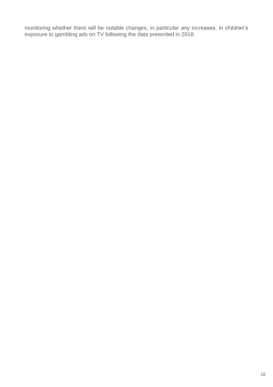monitoring whether there will be notable changes, in particular any increases, in children's exposure to gambling ads on TV following the data presented in 2018.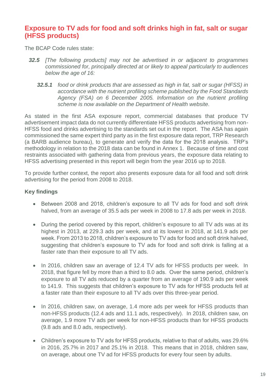### **Exposure to TV ads for food and soft drinks high in fat, salt or sugar (HFSS products)**

The BCAP Code rules state:

- *32.5 [The following products] may not be advertised in or adjacent to programmes commissioned for, principally directed at or likely to appeal particularly to audiences below the age of 16:*
	- *32.5.1 food or drink products that are assessed as high in fat, salt or sugar (HFSS) in accordance with the nutrient profiling scheme published by the Food Standards Agency (FSA) on 6 December 2005. Information on the nutrient profiling scheme is now available on the Department of Health website.*

As stated in the first ASA exposure report, commercial databases that produce TV advertisement impact data do not currently differentiate HFSS products advertising from non-HFSS food and drinks advertising to the standards set out in the report. The ASA has again commissioned the same expert third party as in the first exposure data report, TRP Research (a BARB audience bureau), to generate and verify the data for the 2018 analysis. TRP's methodology in relation to the 2018 data can be found in Annex 1. Because of time and cost restraints associated with gathering data from previous years, the exposure data relating to HFSS advertising presented in this report will begin from the year 2016 up to 2018.

To provide further context, the report also presents exposure data for all food and soft drink advertising for the period from 2008 to 2018.

#### **Key findings**

- Between 2008 and 2018, children's exposure to all TV ads for food and soft drink halved, from an average of 35.5 ads per week in 2008 to 17.8 ads per week in 2018.
- During the period covered by this report, children's exposure to all TV ads was at its highest in 2013, at 229.3 ads per week, and at its lowest in 2018, at 141.9 ads per week. From 2013 to 2018, children's exposure to TV ads for food and soft drink halved, suggesting that children's exposure to TV ads for food and soft drink is falling at a faster rate than their exposure to all TV ads.
- In 2016, children saw an average of 12.4 TV ads for HFSS products per week. In 2018, that figure fell by more than a third to 8.0 ads. Over the same period, children's exposure to all TV ads reduced by a quarter from an average of 190.9 ads per week to 141.9. This suggests that children's exposure to TV ads for HFSS products fell at a faster rate than their exposure to all TV ads over this three-year period.
- In 2016, children saw, on average, 1.4 more ads per week for HFSS products than non-HFSS products (12.4 ads and 11.1 ads, respectively). In 2018, children saw, on average, 1.9 more TV ads per week for non-HFSS products than for HFSS products (9.8 ads and 8.0 ads, respectively).
- Children's exposure to TV ads for HFSS products, relative to that of adults, was 29.6% in 2016, 25.7% in 2017 and 25.1% in 2018. This means that in 2018, children saw, on average, about one TV ad for HFSS products for every four seen by adults.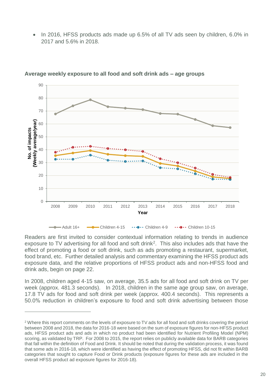In 2016, HFSS products ads made up 6.5% of all TV ads seen by children, 6.0% in 2017 and 5.6% in 2018.



**Average weekly exposure to all food and soft drink ads – age groups**

Readers are first invited to consider contextual information relating to trends in audience exposure to TV advertising for all food and soft drink<sup>2</sup>. This also includes ads that have the effect of promoting a food or soft drink, such as ads promoting a restaurant, supermarket, food brand, etc. Further detailed analysis and commentary examining the HFSS product ads exposure data, and the relative proportions of HFSS product ads and non-HFSS food and drink ads, begin on page 22.

In 2008, children aged 4-15 saw, on average, 35.5 ads for all food and soft drink on TV per week (approx. 481.3 seconds). In 2018, children in the same age group saw, on average, 17.8 TV ads for food and soft drink per week (approx. 400.4 seconds). This represents a 50.0% reduction in children's exposure to food and soft drink advertising between those

 $\overline{a}$ 

<sup>&</sup>lt;sup>2</sup> Where this report comments on the levels of exposure to TV ads for all food and soft drinks covering the period between 2008 and 2018, the data for 2016-18 were based on the sum of exposure figures for non-HFSS product ads, HFSS product ads and ads in which no product had been identified for Nutrient Profiling Model (NPM) scoring, as validated by TRP. For 2008 to 2015, the report relies on publicly available data for BARB categories that fall within the definition of Food and Drink. It should be noted that during the validation process, it was found that some ads in 2016-18, which were identified as having the effect of promoting HFSS, did not fit within BARB categories that sought to capture Food or Drink products (exposure figures for these ads are included in the overall HFSS product ad exposure figures for 2016-18).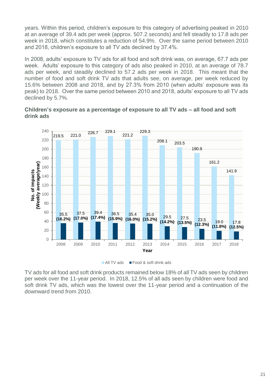years. Within this period, children's exposure to this category of advertising peaked in 2010 at an average of 39.4 ads per week (approx. 507.2 seconds) and fell steadily to 17.8 ads per week in 2018, which constitutes a reduction of 54.9%. Over the same period between 2010 and 2018, children's exposure to all TV ads declined by 37.4%.

In 2008, adults' exposure to TV ads for all food and soft drink was, on average, 67.7 ads per week. Adults' exposure to this category of ads also peaked in 2010, at an average of 78.7 ads per week, and steadily declined to 57.2 ads per week in 2018. This meant that the number of food and soft drink TV ads that adults see, on average, per week reduced by 15.6% between 2008 and 2018, and by 27.3% from 2010 (when adults' exposure was its peak) to 2018. Over the same period between 2010 and 2018, adults' exposure to all TV ads declined by 5.7%.





■ All TV ads ■ Food & soft drink ads

TV ads for all food and soft drink products remained below 18% of all TV ads seen by children per week over the 11-year period. In 2018, 12.5% of all ads seen by children were food and soft drink TV ads, which was the lowest over the 11-year period and a continuation of the downward trend from 2010.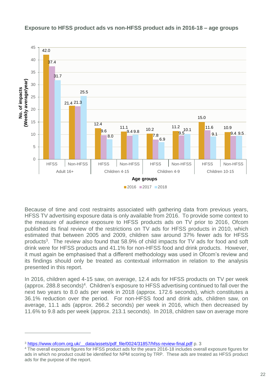

**Exposure to HFSS product ads vs non-HFSS product ads in 2016-18 – age groups**

Because of time and cost restraints associated with gathering data from previous years, HFSS TV advertising exposure data is only available from 2016. To provide some context to the measure of audience exposure to HFSS products ads on TV prior to 2016, Ofcom published its final review of the restrictions on TV ads for HFSS products in 2010, which estimated that between 2005 and 2009, children saw around 37% fewer ads for HFSS products<sup>3</sup>. The review also found that 58.9% of child impacts for TV ads for food and soft drink were for HFSS products and 41.1% for non-HFSS food and drink products. However, it must again be emphasised that a different methodology was used in Ofcom's review and its findings should only be treated as contextual information in relation to the analysis presented in this report.

In 2016, children aged 4-15 saw, on average, 12.4 ads for HFSS products on TV per week (approx. 288.8 seconds)<sup>4</sup>. Children's exposure to HFSS advertising continued to fall over the next two years to 8.0 ads per week in 2018 (approx. 172.6 seconds), which constitutes a 36.1% reduction over the period. For non-HFSS food and drink ads, children saw, on average, 11.1 ads (approx. 266.2 seconds) per week in 2016, which then decreased by 11.6% to 9.8 ads per week (approx. 213.1 seconds). In 2018, children saw on average more

 $\overline{a}$ 

<sup>&</sup>lt;sup>3</sup> https://www.ofcom.org.uk/ data/assets/pdf file/0024/31857/hfss-review-final.pdf p. 3

<sup>4</sup> The overall exposure figures for HFSS product ads for the years 2016-18 includes overall exposure figures for ads in which no product could be identified for NPM scoring by TRP. These ads are treated as HFSS product ads for the purpose of the report.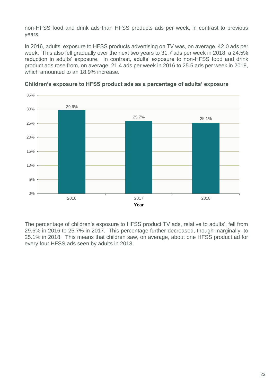non-HFSS food and drink ads than HFSS products ads per week, in contrast to previous years.

In 2016, adults' exposure to HFSS products advertising on TV was, on average, 42.0 ads per week. This also fell gradually over the next two years to 31.7 ads per week in 2018: a 24.5% reduction in adults' exposure. In contrast, adults' exposure to non-HFSS food and drink product ads rose from, on average, 21.4 ads per week in 2016 to 25.5 ads per week in 2018, which amounted to an 18.9% increase.



**Children's exposure to HFSS product ads as a percentage of adults' exposure** 

The percentage of children's exposure to HFSS product TV ads, relative to adults', fell from 29.6% in 2016 to 25.7% in 2017. This percentage further decreased, though marginally, to 25.1% in 2018. This means that children saw, on average, about one HFSS product ad for every four HFSS ads seen by adults in 2018.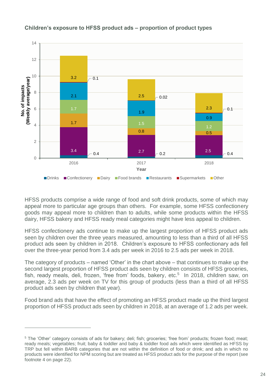

### **Children's exposure to HFSS product ads – proportion of product types**

HFSS products comprise a wide range of food and soft drink products, some of which may appeal more to particular age groups than others. For example, some HFSS confectionery goods may appeal more to children than to adults, while some products within the HFSS dairy, HFSS bakery and HFSS ready meal categories might have less appeal to children.

HFSS confectionery ads continue to make up the largest proportion of HFSS product ads seen by children over the three years measured, amounting to less than a third of all HFSS product ads seen by children in 2018. Children's exposure to HFSS confectionary ads fell over the three-year period from 3.4 ads per week in 2016 to 2.5 ads per week in 2018.

The category of products – named 'Other' in the chart above – that continues to make up the second largest proportion of HFSS product ads seen by children consists of HFSS groceries, fish, ready meals, deli, frozen, 'free from' foods, bakery, etc.<sup>5</sup> In 2018, children saw, on average, 2.3 ads per week on TV for this group of products (less than a third of all HFSS product ads seen by children that year).

Food brand ads that have the effect of promoting an HFSS product made up the third largest proportion of HFSS product ads seen by children in 2018, at an average of 1.2 ads per week.

 $\overline{a}$ 

<sup>5</sup> The 'Other' category consists of ads for bakery; deli; fish; groceries; 'free from' products; frozen food; meat; ready meals; vegetables; fruit; baby & toddler and baby & toddler food ads which were identified as HFSS by TRP but fell within BARB categories that are not within the definition of food or drink; and ads in which no products were identified for NPM scoring but are treated as HFSS product ads for the purpose of the report (see footnote 4 on page 22).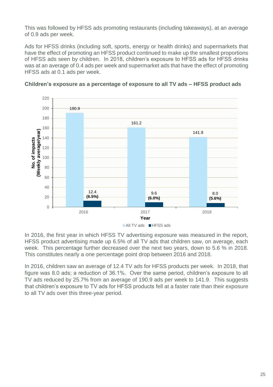This was followed by HFSS ads promoting restaurants (including takeaways), at an average of 0.9 ads per week.

Ads for HFSS drinks (including soft, sports, energy or health drinks) and supermarkets that have the effect of promoting an HFSS product continued to make up the smallest proportions of HFSS ads seen by children. In 2018, children's exposure to HFSS ads for HFSS drinks was at an average of 0.4 ads per week and supermarket ads that have the effect of promoting HFSS ads at 0.1 ads per week.



**Children's exposure as a percentage of exposure to all TV ads – HFSS product ads**

In 2016, the first year in which HFSS TV advertising exposure was measured in the report, HFSS product advertising made up 6.5% of all TV ads that children saw, on average, each week. This percentage further decreased over the next two years, down to 5.6 % in 2018. This constitutes nearly a one percentage point drop between 2016 and 2018.

In 2016, children saw an average of 12.4 TV ads for HFSS products per week. In 2018, that figure was 8.0 ads; a reduction of 36.1%. Over the same period, children's exposure to all TV ads reduced by 25.7% from an average of 190.9 ads per week to 141.9. This suggests that children's exposure to TV ads for HFSS products fell at a faster rate than their exposure to all TV ads over this three-year period.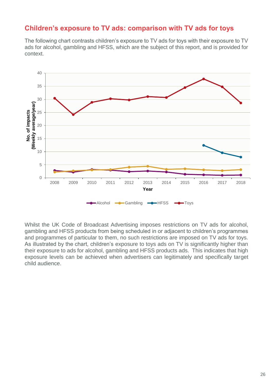### **Children's exposure to TV ads: comparison with TV ads for toys**

The following chart contrasts children's exposure to TV ads for toys with their exposure to TV ads for alcohol, gambling and HFSS, which are the subject of this report, and is provided for context.



Whilst the UK Code of Broadcast Advertising imposes restrictions on TV ads for alcohol, gambling and HFSS products from being scheduled in or adjacent to children's programmes and programmes of particular to them, no such restrictions are imposed on TV ads for toys. As illustrated by the chart, children's exposure to toys ads on TV is significantly higher than their exposure to ads for alcohol, gambling and HFSS products ads. This indicates that high exposure levels can be achieved when advertisers can legitimately and specifically target child audience.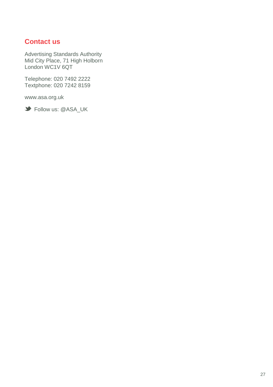### **Contact us**

Advertising Standards Authority Mid City Place, 71 High Holborn London WC1V 6QT

Telephone: 020 7492 2222 Textphone: 020 7242 8159

www.asa.org.uk

Follow us: @ASA\_UK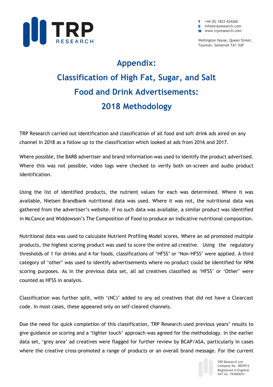

 $\blacksquare$  +44 (0) 1823 424260 **E** info@trpresearch.com W www.trpresearch.com

Wellington House, Queen Street, Taunton, Somerset TA1 3UF

## **Appendix: Classification of High Fat, Sugar, and Salt Food and Drink Advertisements: 2018 Methodology**

TRP Research carried out identification and classification of all food and soft drink ads aired on any channel in 2018 as a follow up to the classification which looked at ads from 2016 and 2017.

Where possible, the BARB advertiser and brand information was used to identify the product advertised. Where this was not possible, video logs were checked to verify both on-screen and audio product identification.

Using the list of identified products, the nutrient values for each was determined. Where it was available, Nielsen Brandbank nutritional data was used. Where it was not, the nutritional data was gathered from the advertiser's website. If no such data was available, a similar product was identified in McCance and Widdowson's The Composition of Food to produce an indicative nutritional composition.

Nutritional data was used to calculate Nutrient Profiling Model scores. Where an ad promoted multiple products, the highest scoring product was used to score the entire ad creative. Using the regulatory thresholds of 1 for drinks and 4 for foods, classifications of 'HFSS' or 'Non-HFSS' were applied. A third category of 'other' was used to identify advertisements where no product could be identified for NPM scoring purposes. As in the previous data set, all ad creatives classified as 'HFSS' or 'Other' were counted as HFSS in analysis.

Classification was further split, with '(NC)' added to any ad creatives that did not have a Clearcast code. In most cases, these appeared only on self-cleared channels.

Due the need for quick completion of this classification, TRP Research used previous years' results to give guidance on scoring and a 'lighter touch' approach was agreed for the methodology. In the earlier data set, 'grey area' ad creatives were flagged for further review by BCAP/ASA, particularly in cases where the creative cross-promoted a range of products or an overall brand message. For the current



TRP Research Ltd Company No. 3825912 Registered in England. VAT no. 743504251